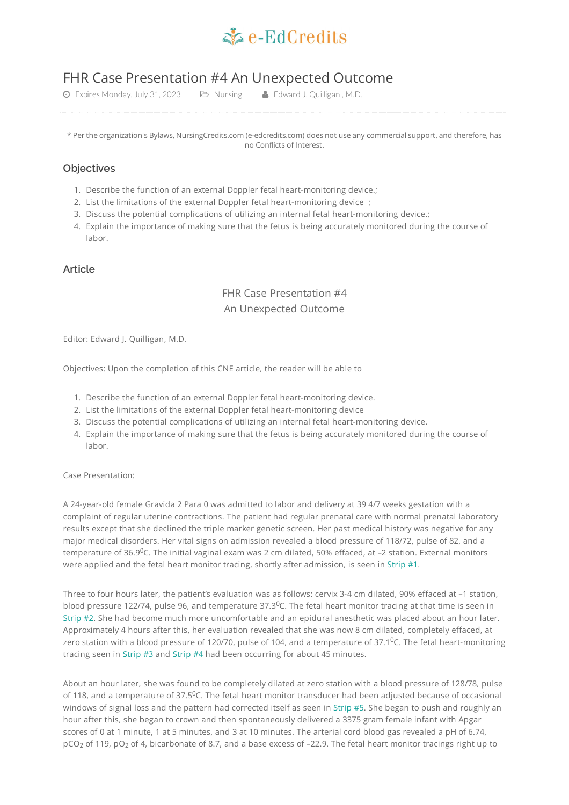

# FHR Case Presentation #4 An Unexpected Outcome

**①** Expires Monday, July 31, 2023 **D** Nursing **4** Edward J. Quilligan, M.D.

\* Per the organization's Bylaws, NursingCredits.com (e-edcredits.com) does not use any commercial support, and therefore, has no Conflicts of Interest.

# **Objectives**

- 1. Describe the function of an external Doppler fetal heart-monitoring device.;
- 2. List the limitations of the external Doppler fetal heart-monitoring device ;
- 3. Discuss the potential complications of utilizing an internal fetal heart-monitoring device.;
- 4. Explain the importance of making sure that the fetus is being accurately monitored during the course of labor.

# **Article**

# FHR Case Presentation #4 An Unexpected Outcome

Editor: Edward J. Quilligan, M.D.

Objectives: Upon the completion of this CNE article, the reader will be able to

- 1. Describe the function of an external Doppler fetal heart-monitoring device.
- 2. List the limitations of the external Doppler fetal heart-monitoring device
- 3. Discuss the potential complications of utilizing an internal fetal heart-monitoring device.
- 4. Explain the importance of making sure that the fetus is being accurately monitored during the course of labor.

Case Presentation:

A 24-year-old female Gravida 2 Para 0 was admitted to labor and delivery at 39 4/7 weeks gestation with a complaint of regular uterine contractions. The patient had regular prenatal care with normal prenatal laboratory results except that she declined the triple marker genetic screen. Her past medical history was negative for any major medical disorders. Her vital signs on admission revealed a blood pressure of 118/72, pulse of 82, and a temperature of 36.9<sup>0</sup>C. The initial vaginal exam was 2 cm dilated, 50% effaced, at –2 station. External monitors were applied and the fetal heart monitor tracing, shortly after admission, is seen in [Strip](#page-5-0) #1.

Three to four hours later, the patient's evaluation was as follows: cervix 3-4 cm dilated, 90% effaced at –1 station, blood pressure 122/74, pulse 96, and temperature 37.3 $^0$ C. The fetal heart monitor tracing at that time is seen in [Strip](#page-5-1) #2. She had become much more uncomfortable and an epidural anesthetic was placed about an hour later. Approximately 4 hours after this, her evaluation revealed that she was now 8 cm dilated, completely effaced, at zero station with a blood pressure of 120/70, pulse of 104, and a temperature of 37.1 $^0$ C. The fetal heart-monitoring tracing seen in [Strip](#page-5-2) #3 and [Strip](#page-6-0) #4 had been occurring for about 45 minutes.

About an hour later, she was found to be completely dilated at zero station with a blood pressure of 128/78, pulse of 118, and a temperature of 37.5<sup>0</sup>C. The fetal heart monitor transducer had been adjusted because of occasional windows of signal loss and the pattern had corrected itself as seen in [Strip](#page-6-1) #5. She began to push and roughly an hour after this, she began to crown and then spontaneously delivered a 3375 gram female infant with Apgar scores of 0 at 1 minute, 1 at 5 minutes, and 3 at 10 minutes. The arterial cord blood gas revealed a pH of 6.74, pCO $_2$  of 119, pO $_2$  of 4, bicarbonate of 8.7, and a base excess of –22.9. The fetal heart monitor tracings right up to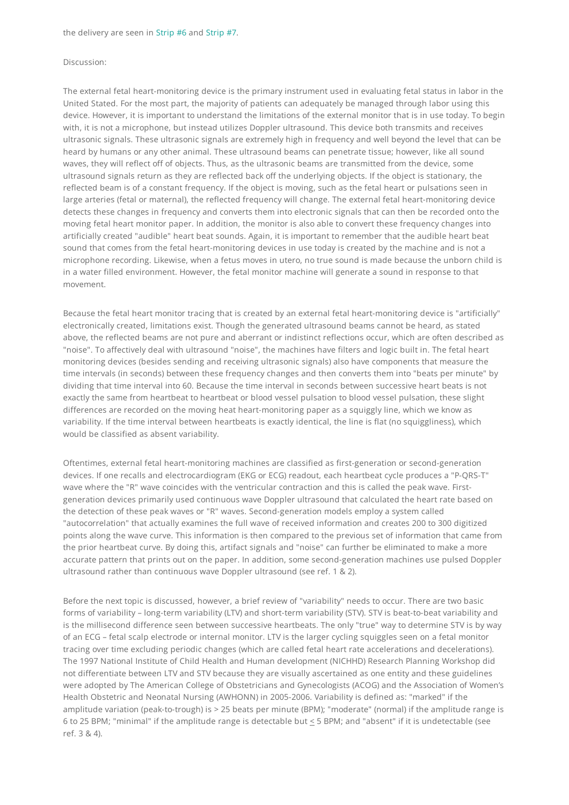#### Discussion:

The external fetal heart-monitoring device is the primary instrument used in evaluating fetal status in labor in the United Stated. For the most part, the majority of patients can adequately be managed through labor using this device. However, it is important to understand the limitations of the external monitor that is in use today. To begin with, it is not a microphone, but instead utilizes Doppler ultrasound. This device both transmits and receives ultrasonic signals. These ultrasonic signals are extremely high in frequency and well beyond the level that can be heard by humans or any other animal. These ultrasound beams can penetrate tissue; however, like all sound waves, they will reflect off of objects. Thus, as the ultrasonic beams are transmitted from the device, some ultrasound signals return as they are reflected back off the underlying objects. If the object is stationary, the reflected beam is of a constant frequency. If the object is moving, such as the fetal heart or pulsations seen in large arteries (fetal or maternal), the reflected frequency will change. The external fetal heart-monitoring device detects these changes in frequency and converts them into electronic signals that can then be recorded onto the moving fetal heart monitor paper. In addition, the monitor is also able to convert these frequency changes into artificially created "audible" heart beat sounds. Again, it is important to remember that the audible heart beat sound that comes from the fetal heart-monitoring devices in use today is created by the machine and is not a microphone recording. Likewise, when a fetus moves in utero, no true sound is made because the unborn child is in a water filled environment. However, the fetal monitor machine will generate a sound in response to that movement.

Because the fetal heart monitor tracing that is created by an external fetal heart-monitoring device is "artificially" electronically created, limitations exist. Though the generated ultrasound beams cannot be heard, as stated above, the reflected beams are not pure and aberrant or indistinct reflections occur, which are often described as "noise". To affectively deal with ultrasound "noise", the machines have filters and logic built in. The fetal heart monitoring devices (besides sending and receiving ultrasonic signals) also have components that measure the time intervals (in seconds) between these frequency changes and then converts them into "beats per minute" by dividing that time interval into 60. Because the time interval in seconds between successive heart beats is not exactly the same from heartbeat to heartbeat or blood vessel pulsation to blood vessel pulsation, these slight differences are recorded on the moving heat heart-monitoring paper as a squiggly line, which we know as variability. If the time interval between heartbeats is exactly identical, the line is flat (no squiggliness), which would be classified as absent variability.

Oftentimes, external fetal heart-monitoring machines are classified as first-generation or second-generation devices. If one recalls and electrocardiogram (EKG or ECG) readout, each heartbeat cycle produces a "P-QRS-T" wave where the "R" wave coincides with the ventricular contraction and this is called the peak wave. Firstgeneration devices primarily used continuous wave Doppler ultrasound that calculated the heart rate based on the detection of these peak waves or "R" waves. Second-generation models employ a system called "autocorrelation" that actually examines the full wave of received information and creates 200 to 300 digitized points along the wave curve. This information is then compared to the previous set of information that came from the prior heartbeat curve. By doing this, artifact signals and "noise" can further be eliminated to make a more accurate pattern that prints out on the paper. In addition, some second-generation machines use pulsed Doppler ultrasound rather than continuous wave Doppler ultrasound (see ref. 1 & 2).

Before the next topic is discussed, however, a brief review of "variability" needs to occur. There are two basic forms of variability – long-term variability (LTV) and short-term variability (STV). STV is beat-to-beat variability and is the millisecond difference seen between successive heartbeats. The only "true" way to determine STV is by way of an ECG – fetal scalp electrode or internal monitor. LTV is the larger cycling squiggles seen on a fetal monitor tracing over time excluding periodic changes (which are called fetal heart rate accelerations and decelerations). The 1997 National Institute of Child Health and Human development (NICHHD) Research Planning Workshop did not differentiate between LTV and STV because they are visually ascertained as one entity and these guidelines were adopted by The American College of Obstetricians and Gynecologists (ACOG) and the Association of Women's Health Obstetric and Neonatal Nursing (AWHONN) in 2005-2006. Variability is defined as: "marked" if the amplitude variation (peak-to-trough) is > 25 beats per minute (BPM); "moderate" (normal) if the amplitude range is 6 to 25 BPM; "minimal" if the amplitude range is detectable but < 5 BPM; and "absent" if it is undetectable (see ref. 3 & 4).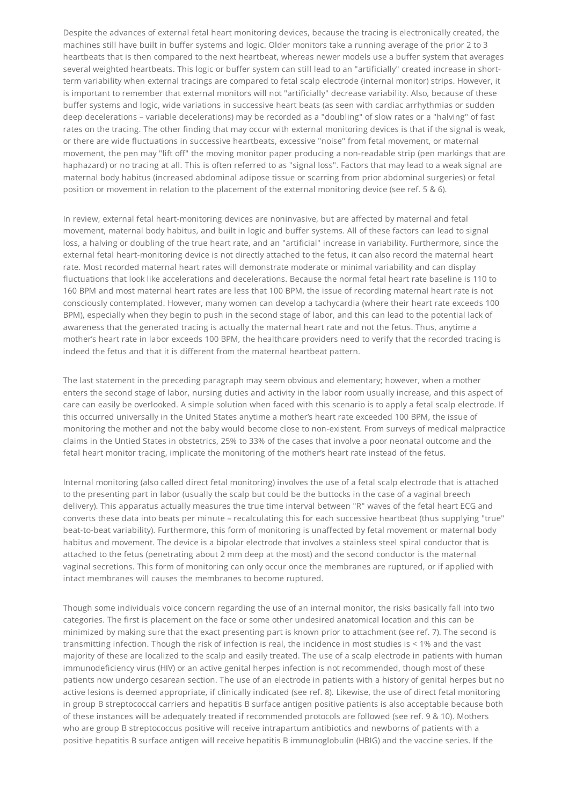Despite the advances of external fetal heart monitoring devices, because the tracing is electronically created, the machines still have built in buffer systems and logic. Older monitors take a running average of the prior 2 to 3 heartbeats that is then compared to the next heartbeat, whereas newer models use a buffer system that averages several weighted heartbeats. This logic or buffer system can still lead to an "artificially" created increase in shortterm variability when external tracings are compared to fetal scalp electrode (internal monitor) strips. However, it is important to remember that external monitors will not "artificially" decrease variability. Also, because of these buffer systems and logic, wide variations in successive heart beats (as seen with cardiac arrhythmias or sudden deep decelerations – variable decelerations) may be recorded as a "doubling" of slow rates or a "halving" of fast rates on the tracing. The other finding that may occur with external monitoring devices is that if the signal is weak, or there are wide fluctuations in successive heartbeats, excessive "noise" from fetal movement, or maternal movement, the pen may "lift off" the moving monitor paper producing a non-readable strip (pen markings that are haphazard) or no tracing at all. This is often referred to as "signal loss". Factors that may lead to a weak signal are maternal body habitus (increased abdominal adipose tissue or scarring from prior abdominal surgeries) or fetal position or movement in relation to the placement of the external monitoring device (see ref. 5 & 6).

In review, external fetal heart-monitoring devices are noninvasive, but are affected by maternal and fetal movement, maternal body habitus, and built in logic and buffer systems. All of these factors can lead to signal loss, a halving or doubling of the true heart rate, and an "artificial" increase in variability. Furthermore, since the external fetal heart-monitoring device is not directly attached to the fetus, it can also record the maternal heart rate. Most recorded maternal heart rates will demonstrate moderate or minimal variability and can display fluctuations that look like accelerations and decelerations. Because the normal fetal heart rate baseline is 110 to 160 BPM and most maternal heart rates are less that 100 BPM, the issue of recording maternal heart rate is not consciously contemplated. However, many women can develop a tachycardia (where their heart rate exceeds 100 BPM), especially when they begin to push in the second stage of labor, and this can lead to the potential lack of awareness that the generated tracing is actually the maternal heart rate and not the fetus. Thus, anytime a mother's heart rate in labor exceeds 100 BPM, the healthcare providers need to verify that the recorded tracing is indeed the fetus and that it is different from the maternal heartbeat pattern.

The last statement in the preceding paragraph may seem obvious and elementary; however, when a mother enters the second stage of labor, nursing duties and activity in the labor room usually increase, and this aspect of care can easily be overlooked. A simple solution when faced with this scenario is to apply a fetal scalp electrode. If this occurred universally in the United States anytime a mother's heart rate exceeded 100 BPM, the issue of monitoring the mother and not the baby would become close to non-existent. From surveys of medical malpractice claims in the Untied States in obstetrics, 25% to 33% of the cases that involve a poor neonatal outcome and the fetal heart monitor tracing, implicate the monitoring of the mother's heart rate instead of the fetus.

Internal monitoring (also called direct fetal monitoring) involves the use of a fetal scalp electrode that is attached to the presenting part in labor (usually the scalp but could be the buttocks in the case of a vaginal breech delivery). This apparatus actually measures the true time interval between "R" waves of the fetal heart ECG and converts these data into beats per minute – recalculating this for each successive heartbeat (thus supplying "true" beat-to-beat variability). Furthermore, this form of monitoring is unaffected by fetal movement or maternal body habitus and movement. The device is a bipolar electrode that involves a stainless steel spiral conductor that is attached to the fetus (penetrating about 2 mm deep at the most) and the second conductor is the maternal vaginal secretions. This form of monitoring can only occur once the membranes are ruptured, or if applied with intact membranes will causes the membranes to become ruptured.

Though some individuals voice concern regarding the use of an internal monitor, the risks basically fall into two categories. The first is placement on the face or some other undesired anatomical location and this can be minimized by making sure that the exact presenting part is known prior to attachment (see ref. 7). The second is transmitting infection. Though the risk of infection is real, the incidence in most studies is < 1% and the vast majority of these are localized to the scalp and easily treated. The use of a scalp electrode in patients with human immunodeficiency virus (HIV) or an active genital herpes infection is not recommended, though most of these patients now undergo cesarean section. The use of an electrode in patients with a history of genital herpes but no active lesions is deemed appropriate, if clinically indicated (see ref. 8). Likewise, the use of direct fetal monitoring in group B streptococcal carriers and hepatitis B surface antigen positive patients is also acceptable because both of these instances will be adequately treated if recommended protocols are followed (see ref. 9 & 10). Mothers who are group B streptococcus positive will receive intrapartum antibiotics and newborns of patients with a positive hepatitis B surface antigen will receive hepatitis B immunoglobulin (HBIG) and the vaccine series. If the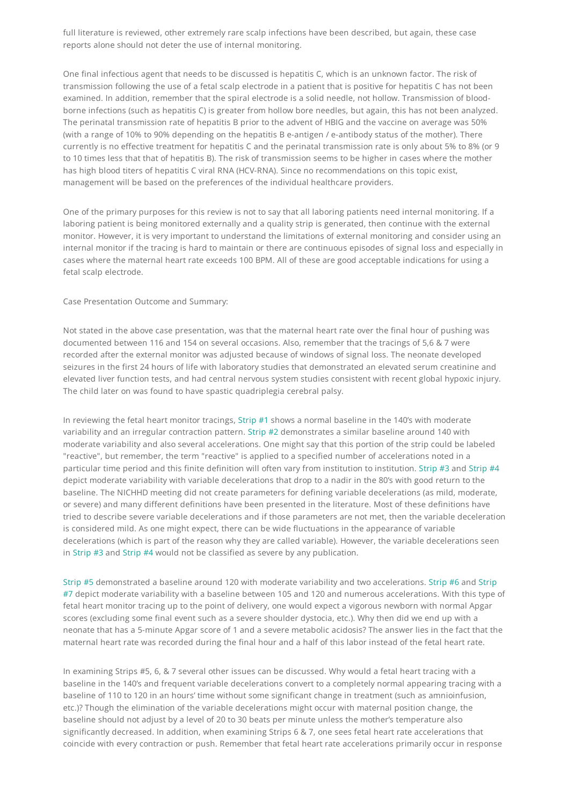full literature is reviewed, other extremely rare scalp infections have been described, but again, these case reports alone should not deter the use of internal monitoring.

One final infectious agent that needs to be discussed is hepatitis C, which is an unknown factor. The risk of transmission following the use of a fetal scalp electrode in a patient that is positive for hepatitis C has not been examined. In addition, remember that the spiral electrode is a solid needle, not hollow. Transmission of bloodborne infections (such as hepatitis C) is greater from hollow bore needles, but again, this has not been analyzed. The perinatal transmission rate of hepatitis B prior to the advent of HBIG and the vaccine on average was 50% (with a range of 10% to 90% depending on the hepatitis B e-antigen / e-antibody status of the mother). There currently is no effective treatment for hepatitis C and the perinatal transmission rate is only about 5% to 8% (or 9 to 10 times less that that of hepatitis B). The risk of transmission seems to be higher in cases where the mother has high blood titers of hepatitis C viral RNA (HCV-RNA). Since no recommendations on this topic exist, management will be based on the preferences of the individual healthcare providers.

One of the primary purposes for this review is not to say that all laboring patients need internal monitoring. If a laboring patient is being monitored externally and a quality strip is generated, then continue with the external monitor. However, it is very important to understand the limitations of external monitoring and consider using an internal monitor if the tracing is hard to maintain or there are continuous episodes of signal loss and especially in cases where the maternal heart rate exceeds 100 BPM. All of these are good acceptable indications for using a fetal scalp electrode.

Case Presentation Outcome and Summary:

Not stated in the above case presentation, was that the maternal heart rate over the final hour of pushing was documented between 116 and 154 on several occasions. Also, remember that the tracings of 5,6 & 7 were recorded after the external monitor was adjusted because of windows of signal loss. The neonate developed seizures in the first 24 hours of life with laboratory studies that demonstrated an elevated serum creatinine and elevated liver function tests, and had central nervous system studies consistent with recent global hypoxic injury. The child later on was found to have spastic quadriplegia cerebral palsy.

In reviewing the fetal heart monitor tracings, [Strip](#page-5-0) #1 shows a normal baseline in the 140's with moderate variability and an irregular contraction pattern. [Strip](#page-5-1) #2 demonstrates a similar baseline around 140 with moderate variability and also several accelerations. One might say that this portion of the strip could be labeled "reactive", but remember, the term "reactive" is applied to a specified number of accelerations noted in a particular time period and this finite definition will often vary from institution to institution. [Strip](#page-6-0) #3 and Strip #4 depict moderate variability with variable decelerations that drop to a nadir in the 80's with good return to the baseline. The NICHHD meeting did not create parameters for defining variable decelerations (as mild, moderate, or severe) and many different definitions have been presented in the literature. Most of these definitions have tried to describe severe variable decelerations and if those parameters are not met, then the variable deceleration is considered mild. As one might expect, there can be wide fluctuations in the appearance of variable decelerations (which is part of the reason why they are called variable). However, the variable decelerations seen in [Strip](#page-5-2) #3 and [Strip](#page-6-0) #4 would not be classified as severe by any publication.

[Strip](#page-6-1) #5 [demonstrated](#page-7-0) a baseline around 120 with moderate variability and two accelerations. [Strip](#page-6-2) #6 and Strip #7 depict moderate variability with a baseline between 105 and 120 and numerous accelerations. With this type of fetal heart monitor tracing up to the point of delivery, one would expect a vigorous newborn with normal Apgar scores (excluding some final event such as a severe shoulder dystocia, etc.). Why then did we end up with a neonate that has a 5-minute Apgar score of 1 and a severe metabolic acidosis? The answer lies in the fact that the maternal heart rate was recorded during the final hour and a half of this labor instead of the fetal heart rate.

In examining Strips #5, 6, & 7 several other issues can be discussed. Why would a fetal heart tracing with a baseline in the 140's and frequent variable decelerations convert to a completely normal appearing tracing with a baseline of 110 to 120 in an hours' time without some significant change in treatment (such as amnioinfusion, etc.)? Though the elimination of the variable decelerations might occur with maternal position change, the baseline should not adjust by a level of 20 to 30 beats per minute unless the mother's temperature also significantly decreased. In addition, when examining Strips 6 & 7, one sees fetal heart rate accelerations that coincide with every contraction or push. Remember that fetal heart rate accelerations primarily occur in response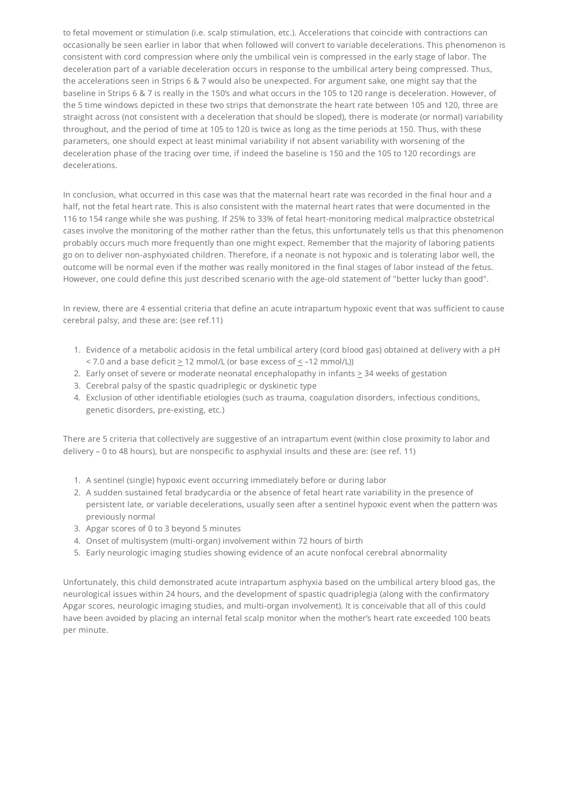to fetal movement or stimulation (i.e. scalp stimulation, etc.). Accelerations that coincide with contractions can occasionally be seen earlier in labor that when followed will convert to variable decelerations. This phenomenon is consistent with cord compression where only the umbilical vein is compressed in the early stage of labor. The deceleration part of a variable deceleration occurs in response to the umbilical artery being compressed. Thus, the accelerations seen in Strips 6 & 7 would also be unexpected. For argument sake, one might say that the baseline in Strips 6 & 7 is really in the 150's and what occurs in the 105 to 120 range is deceleration. However, of the 5 time windows depicted in these two strips that demonstrate the heart rate between 105 and 120, three are straight across (not consistent with a deceleration that should be sloped), there is moderate (or normal) variability throughout, and the period of time at 105 to 120 is twice as long as the time periods at 150. Thus, with these parameters, one should expect at least minimal variability if not absent variability with worsening of the deceleration phase of the tracing over time, if indeed the baseline is 150 and the 105 to 120 recordings are decelerations.

In conclusion, what occurred in this case was that the maternal heart rate was recorded in the final hour and a half, not the fetal heart rate. This is also consistent with the maternal heart rates that were documented in the 116 to 154 range while she was pushing. If 25% to 33% of fetal heart-monitoring medical malpractice obstetrical cases involve the monitoring of the mother rather than the fetus, this unfortunately tells us that this phenomenon probably occurs much more frequently than one might expect. Remember that the majority of laboring patients go on to deliver non-asphyxiated children. Therefore, if a neonate is not hypoxic and is tolerating labor well, the outcome will be normal even if the mother was really monitored in the final stages of labor instead of the fetus. However, one could define this just described scenario with the age-old statement of "better lucky than good".

In review, there are 4 essential criteria that define an acute intrapartum hypoxic event that was sufficient to cause cerebral palsy, and these are: (see ref.11)

- 1. Evidence of a metabolic acidosis in the fetal umbilical artery (cord blood gas) obtained at delivery with a pH < 7.0 and a base deficit > 12 mmol/L (or base excess of < –12 mmol/L))
- 2. Early onset of severe or moderate neonatal encephalopathy in infants  $\geq$  34 weeks of gestation
- 3. Cerebral palsy of the spastic quadriplegic or dyskinetic type
- 4. Exclusion of other identifiable etiologies (such as trauma, coagulation disorders, infectious conditions, genetic disorders, pre-existing, etc.)

There are 5 criteria that collectively are suggestive of an intrapartum event (within close proximity to labor and delivery – 0 to 48 hours), but are nonspecific to asphyxial insults and these are: (see ref. 11)

- 1. A sentinel (single) hypoxic event occurring immediately before or during labor
- 2. A sudden sustained fetal bradycardia or the absence of fetal heart rate variability in the presence of persistent late, or variable decelerations, usually seen after a sentinel hypoxic event when the pattern was previously normal
- 3. Apgar scores of 0 to 3 beyond 5 minutes
- 4. Onset of multisystem (multi-organ) involvement within 72 hours of birth
- 5. Early neurologic imaging studies showing evidence of an acute nonfocal cerebral abnormality

Unfortunately, this child demonstrated acute intrapartum asphyxia based on the umbilical artery blood gas, the neurological issues within 24 hours, and the development of spastic quadriplegia (along with the confirmatory Apgar scores, neurologic imaging studies, and multi-organ involvement). It is conceivable that all of this could have been avoided by placing an internal fetal scalp monitor when the mother's heart rate exceeded 100 beats per minute.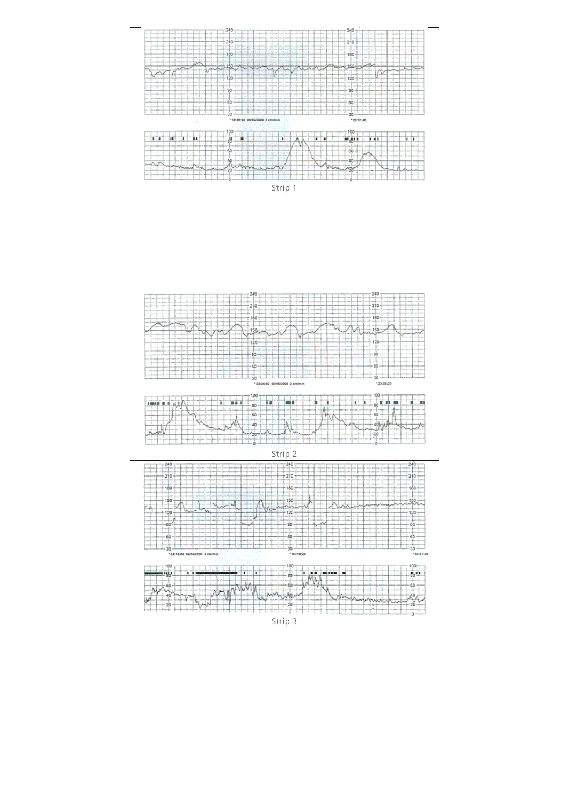<span id="page-5-2"></span><span id="page-5-1"></span><span id="page-5-0"></span>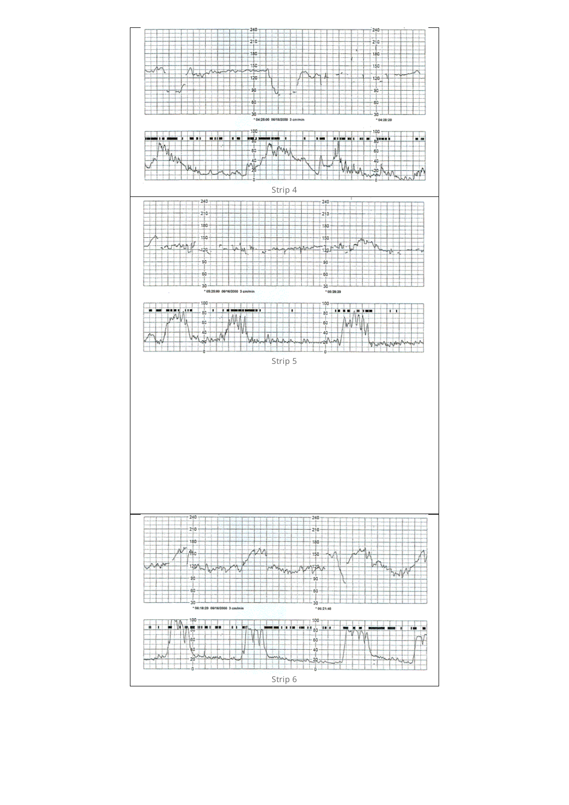<span id="page-6-2"></span><span id="page-6-1"></span><span id="page-6-0"></span>